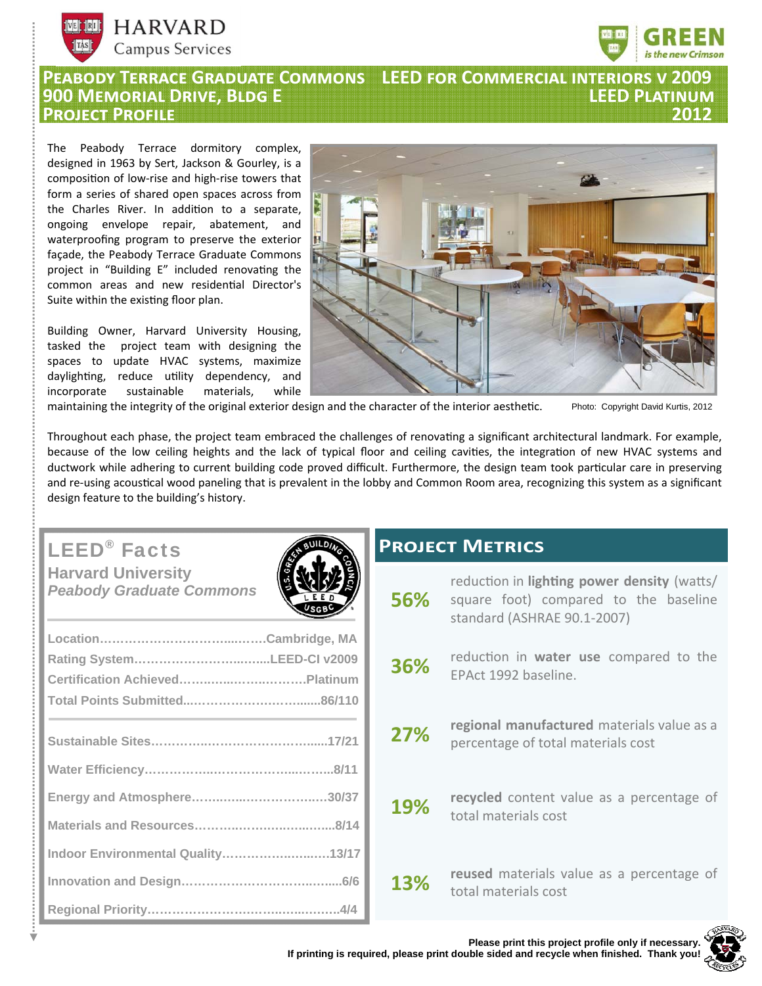



## **PEABODY TERRACE GRADUATE COMMONS LEED FOR COMMERCIAL INTERIORS V 2009<br><u>900 MEMORIAL DRIVE, BLDG E</u> 900 MÃÊÙ®½ DÙ®ò, B½¦ E LEED P½ã®ÄçÃ PROJECT PROFILE**

The Peabody Terrace dormitory complex, designed in 1963 by Sert, Jackson & Gourley, is a composition of low-rise and high-rise towers that form a series of shared open spaces across from the Charles River. In addition to a separate, ongoing envelope repair, abatement, and waterproofing program to preserve the exterior façade, the Peabody Terrace Graduate Commons project in "Building E" included renovating the common areas and new residential Director's Suite within the existing floor plan.

Building Owner, Harvard University Housing, tasked the project team with designing the spaces to update HVAC systems, maximize daylighting, reduce utility dependency, and incorporate sustainable materials, while



maintaining the integrity of the original exterior design and the character of the interior aesthetic. Photo: Copyright David Kurtis, 2012

Throughout each phase, the project team embraced the challenges of renovating a significant architectural landmark. For example, because of the low ceiling heights and the lack of typical floor and ceiling cavities, the integration of new HVAC systems and ductwork while adhering to current building code proved difficult. Furthermore, the design team took particular care in preserving and re-using acoustical wood paneling that is prevalent in the lobby and Common Room area, recognizing this system as a significant design feature to the building's history.

# LEED® Facts

**Harvard University**  *Peabody Graduate Commons* 

| Rating SystemLEED-CI v2009        |  |
|-----------------------------------|--|
|                                   |  |
|                                   |  |
|                                   |  |
|                                   |  |
|                                   |  |
|                                   |  |
|                                   |  |
| Indoor Environmental Quality13/17 |  |
|                                   |  |
|                                   |  |

## **PROJECT METRICS**

| <b>56%</b> | reduction in <b>lighting power density</b> (watts/<br>square foot) compared to the baseline<br>standard (ASHRAE 90.1-2007) |
|------------|----------------------------------------------------------------------------------------------------------------------------|
| 36%        | reduction in water use compared to the<br>EPAct 1992 baseline.                                                             |
| 27%        | regional manufactured materials value as a<br>percentage of total materials cost                                           |
| 19%        | recycled content value as a percentage of<br>total materials cost                                                          |
| 13%        | reused materials value as a percentage of<br>total materials cost                                                          |

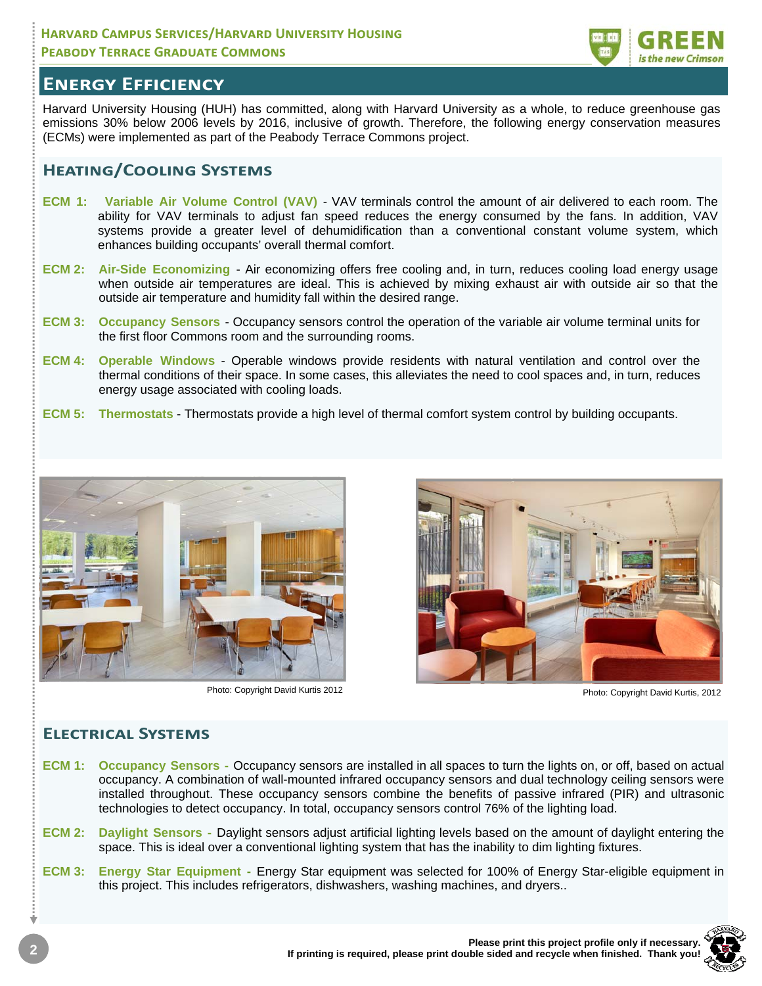### **HARVARD CAMPUS SERVICES/HARVARD UNIVERSITY HOUSING PEABODY TERRACE GRADUATE COMMONS**



## **ENERGY EFFICIENCY**

Harvard University Housing (HUH) has committed, along with Harvard University as a whole, to reduce greenhouse gas emissions 30% below 2006 levels by 2016, inclusive of growth. Therefore, the following energy conservation measures (ECMs) were implemented as part of the Peabody Terrace Commons project.

### **HEATING/COOLING SYSTEMS**

- **ECM 1:** Variable Air Volume Control (VAV) VAV terminals control the amount of air delivered to each room. The ability for VAV terminals to adjust fan speed reduces the energy consumed by the fans. In addition, VAV systems provide a greater level of dehumidification than a conventional constant volume system, which enhances building occupants' overall thermal comfort.
- **ECM 2: Air-Side Economizing**  Air economizing offers free cooling and, in turn, reduces cooling load energy usage when outside air temperatures are ideal. This is achieved by mixing exhaust air with outside air so that the outside air temperature and humidity fall within the desired range.
- **ECM 3: Occupancy Sensors** Occupancy sensors control the operation of the variable air volume terminal units for the first floor Commons room and the surrounding rooms.
- **ECM 4: Operable Windows** Operable windows provide residents with natural ventilation and control over the thermal conditions of their space. In some cases, this alleviates the need to cool spaces and, in turn, reduces energy usage associated with cooling loads.
- **ECM 5: Thermostats** Thermostats provide a high level of thermal comfort system control by building occupants.



Photo: Copyright David Kurtis 2012 Photo: Copyright David Kurtis, 2012



### **ELECTRICAL SYSTEMS**

- **ECM 1: Occupancy Sensors** Occupancy sensors are installed in all spaces to turn the lights on, or off, based on actual occupancy. A combination of wall-mounted infrared occupancy sensors and dual technology ceiling sensors were installed throughout. These occupancy sensors combine the benefits of passive infrared (PIR) and ultrasonic technologies to detect occupancy. In total, occupancy sensors control 76% of the lighting load.
- **ECM 2: Daylight Sensors** Daylight sensors adjust artificial lighting levels based on the amount of daylight entering the space. This is ideal over a conventional lighting system that has the inability to dim lighting fixtures.
- **ECM 3: Energy Star Equipment** Energy Star equipment was selected for 100% of Energy Star-eligible equipment in this project. This includes refrigerators, dishwashers, washing machines, and dryers..

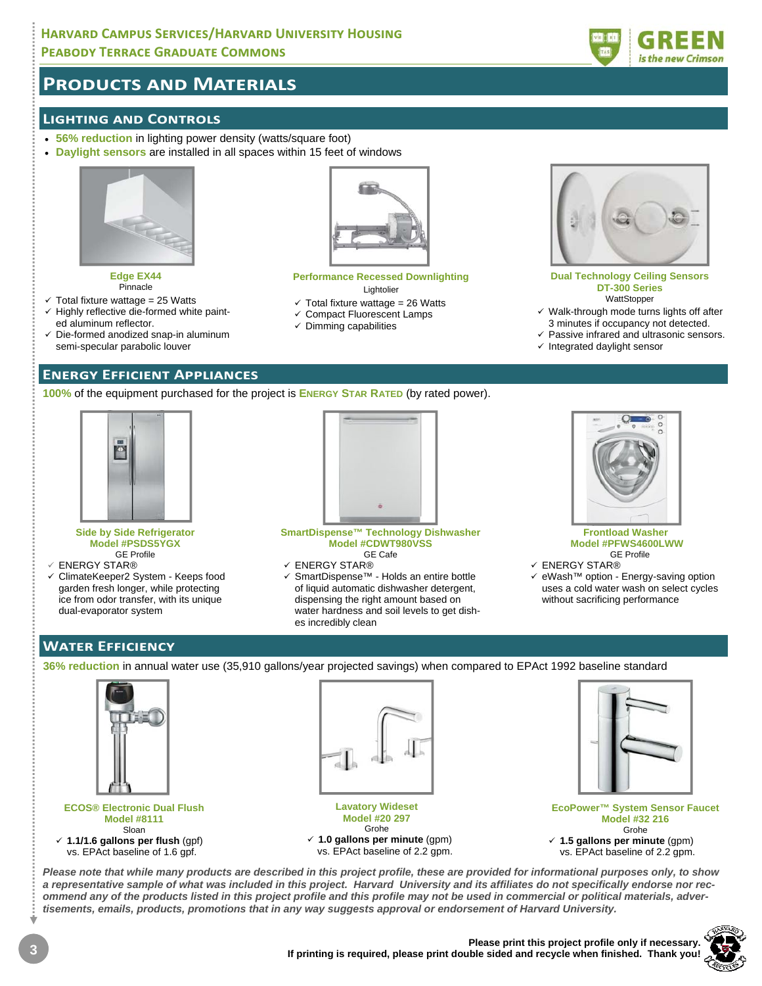### **HARVARD CAMPUS SERVICES/HARVARD UNIVERSITY HOUSING PEABODY TERRACE GRADUATE COMMONS**



## **PRODUCTS AND MATERIALS**

### **LIGHTING AND CONTROLS**

- **56% reduction** in lighting power density (watts/square foot)
- **Daylight sensors** are installed in all spaces within 15 feet of windows



**Edge EX44**  Pinnacle

- $\checkmark$  Total fixture wattage = 25 Watts
- $\checkmark$  Highly reflective die-formed white painted aluminum reflector.
- $\checkmark$  Die-formed anodized snap-in aluminum semi-specular parabolic louver

### **ENERGY EFFICIENT APPLIANCES**

**100%** of the equipment purchased for the project is **ENERGY STAR RATED** (by rated power).



#### **Side by Side Refrigerator Model #PSDS5YGX**  GE Profile

- ENERGY STAR®
- ClimateKeeper2 System Keeps food garden fresh longer, while protecting ice from odor transfer, with its unique dual-evaporator system



**Performance Recessed Downlighting**  Lightolier  $\checkmark$  Total fixture wattage = 26 Watts  $\checkmark$  Compact Fluorescent Lamps  $\checkmark$  Dimming capabilities

**SmartDispense™ Technology Dishwasher Model #CDWT980VSS**  GE Cafe

- ENERGY STAR®
- SmartDispense™ Holds an entire bottle of liquid automatic dishwasher detergent, dispensing the right amount based on water hardness and soil levels to get dishes incredibly clean



**Dual Technology Ceiling Sensors DT-300 Series WattStopper**  $\checkmark$  Walk-through mode turns lights off after 3 minutes if occupancy not detected.  $\checkmark$  Passive infrared and ultrasonic sensors.

 $\checkmark$  Integrated daylight sensor

**Frontload Washer Model #PFWS4600LWW**  GE Profile

- ENERGY STAR®
- eWash™ option Energy-saving option uses a cold water wash on select cycles without sacrificing performance

### **WATER EFFICIENCY**

**36% reduction** in annual water use (35,910 gallons/year projected savings) when compared to EPAct 1992 baseline standard



### **ECOS® Electronic Dual Flush Model #8111**  Sloan **1.1/1.6 gallons per flush** (gpf) vs. EPAct baseline of 1.6 gpf.



**Lavatory Wideset Model #20 297**  Grohe **1.0 gallons per minute** (gpm)

vs. EPAct baseline of 2.2 gpm.



**EcoPower™ System Sensor Faucet Model #32 216** Grohe **1.5 gallons per minute** (gpm) vs. EPAct baseline of 2.2 gpm.

*Please note that while many products are described in this project profile, these are provided for informational purposes only, to show a representative sample of what was included in this project. Harvard University and its affiliates do not specifically endorse nor recommend any of the products listed in this project profile and this profile may not be used in commercial or political materials, advertisements, emails, products, promotions that in any way suggests approval or endorsement of Harvard University.*

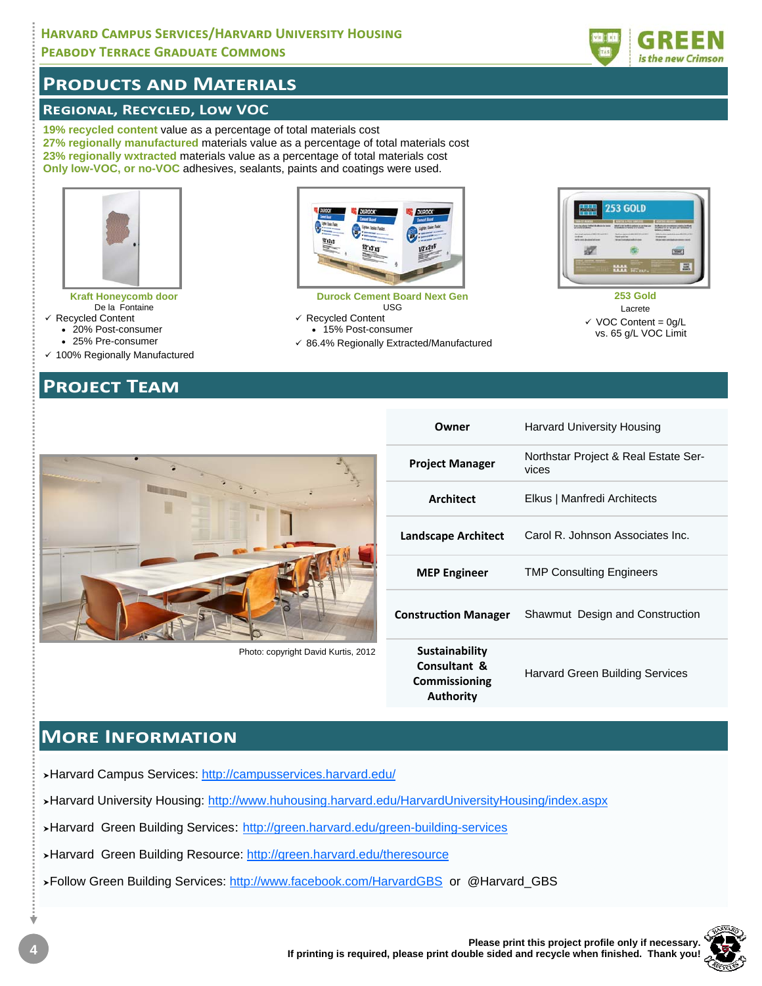### **HARVARD CAMPUS SERVICES/HARVARD UNIVERSITY HOUSING PEABODY TERRACE GRADUATE COMMONS**

## **PRODUCTS AND MATERIALS**

### **REGIONAL, RECYCLED, LOW VOC**

19% recycled content value as a percentage of total materials cost 27% regionally manufactured materials value as a percentage of total materials cost 23% regionally wxtracted materials value as a percentage of total materials cost Only low-VOC, or no-VOC adhesives, sealants, paints and coatings were used.



**Kraft Honeycomb door** De la Fontaine

- $\checkmark$  Recycled Content
	- 20% Post-consumer
	- 25% Pre-consumer
- ✓ 100% Regionally Manufactured

## **PROJECT TEAM**



**Durock Cement Board Next Gen USG**  $\checkmark$  Recycled Content

- 15% Post-consumer
- √ 86.4% Regionally Extracted/Manufactured



253 Gold Lacrete  $\checkmark$  VOC Content = 0g/L vs. 65 g/L VOC Limit



Photo: copyright David Kurtis, 2012

| Owner                                                                      | Harvard University Housing                    |
|----------------------------------------------------------------------------|-----------------------------------------------|
| <b>Project Manager</b>                                                     | Northstar Project & Real Estate Ser-<br>vices |
| Architect                                                                  | Elkus   Manfredi Architects                   |
| <b>Landscape Architect</b>                                                 | Carol R. Johnson Associates Inc.              |
| <b>MEP Engineer</b>                                                        | <b>TMP Consulting Engineers</b>               |
| <b>Construction Manager</b>                                                | Shawmut Design and Construction               |
| <b>Sustainability</b><br>Consultant &<br>Commissioning<br><b>Authority</b> | <b>Harvard Green Building Services</b>        |

## **MORE INFORMATION**

>Harvard Campus Services: http://campusservices.harvard.edu/

>Harvard University Housing: http://www.huhousing.harvard.edu/HarvardUniversityHousing/index.aspx

>Harvard Green Building Services: http://green.harvard.edu/green-building-services

>Harvard Green Building Resource: http://green.harvard.edu/theresource

>Follow Green Building Services: http://www.facebook.com/HarvardGBS or @Harvard\_GBS